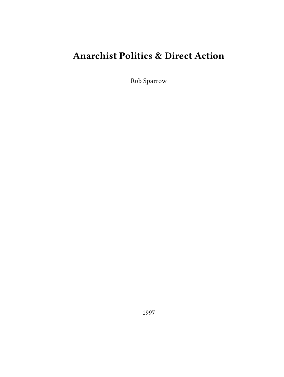# **Anarchist Politics & Direct Action**

Rob Sparrow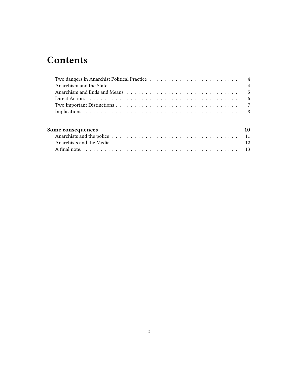# **Contents**

## **[Some consequences](#page-9-0) 10**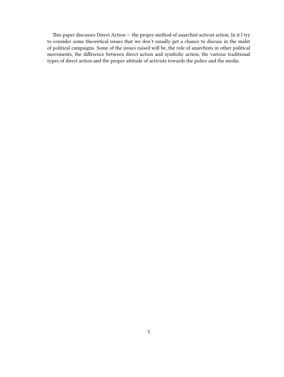This paper discusses Direct Action  $-$  the proper method of anarchist activist action. In it I try to consider some theoretical issues that we don't usually get a chance to discuss in the midst of political campaigns. Some of the issues raised will be, the role of anarchists in other political movements, the difference between direct action and symbolic action, the various traditional types of direct action and the proper attitude of activists towards the police and the media.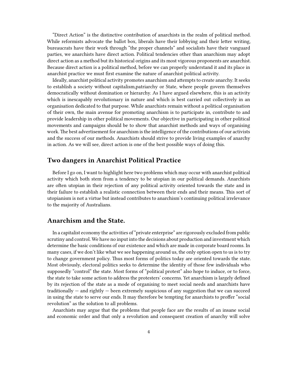"Direct Action" is the distinctive contribution of anarchists in the realm of political method. While reformists advocate the ballot box, liberals have their lobbying and their letter writing, bureaucrats have their work through "the proper channels" and socialists have their vanguard parties, we anarchists have direct action. Political tendencies other than anarchism may adopt direct action as a method but its historical origins and its most vigorous proponents are anarchist. Because direct action is a political method, before we can properly understand it and its place in anarchist practice we must first examine the nature of anarchist political activity.

Ideally, anarchist political activity promotes anarchism and attempts to create anarchy. It seeks to establish a society without capitalism,patriarchy or State, where people govern themselves democratically without domination or hierarchy. As I have argued elsewhere, this is an activity which is inescapably revolutionary in nature and which is best carried out collectively in an organisation dedicated to that purpose. While anarchists remain without a political organisation of their own, the main avenue for promoting anarchism is to participate in, contribute to and provide leadership in other political movements. Our objective in participating in other political movements and campaigns should be to show that anarchist methods and ways of organising work.The best advertisement for anarchism is the intelligence of the contributions of our activists and the success of our methods. Anarchists should strive to provide living examples of anarchy in action. As we will see, direct action is one of the best possible ways of doing this.

#### <span id="page-3-0"></span>**Two dangers in Anarchist Political Practice**

Before I go on, I want to highlight here two problems which may occur with anarchist political activity which both stem from a tendency to be utopian in our political demands. Anarchists are often utopian in their rejection of any political activity oriented towards the state and in their failure to establish a realistic connection between their ends and their means. This sort of utopianism is not a virtue but instead contributes to anarchism's continuing political irrelevance to the majority of Australians.

### <span id="page-3-1"></span>**Anarchism and the State.**

In a capitalist economy the activities of "private enterprise" are rigorously excluded from public scrutiny and control. We have no input into the decisions about production and investment which determine the basic conditions of our existence and which are made in corporate board rooms. In many cases, if we don't like what we see happening around us, the only option open to us is to try to change government policy. Thus most forms of politics today are oriented towards the state. Most obviously, electoral politics seeks to determine the identity of those few individuals who supposedly "control" the state. Most forms of "political protest" also hope to induce, or to force, the state to take some action to address the protesters' concerns. Yet anarchism is largely defined by its rejection of the state as a mode of organising to meet social needs and anarchists have traditionally — and rightly — been extremely suspicious of any suggestion that we can succeed in using the state to serve our ends. It may therefore be tempting for anarchists to proffer "social revolution" as the solution to all problems.

Anarchists may argue that the problems that people face are the results of an insane social and economic order and that only a revolution and consequent creation of anarchy will solve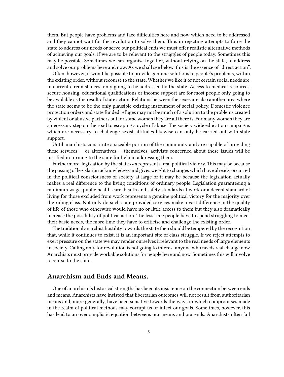them. But people have problems and face difficulties here and now which need to be addressed and they cannot wait for the revolution to solve them. Thus in rejecting attempts to force the state to address our needs or serve our political ends we must offer realistic alternative methods of achieving our goals, if we are to be relevant to the struggles of people today. Sometimes this may be possible. Sometimes we can organise together, without relying on the state, to address and solve our problems here and now. As we shall see below, this is the essence of "direct action".

Often, however, it won't be possible to provide genuine solutions to people's problems, within the existing order, without recourse to the state. Whether we like it or not certain social needs are, in current circumstances, only going to be addressed by the state. Access to medical resources, secure housing, educational qualifications or income support are for most people only going to be available as the result of state action. Relations between the sexes are also another area where the state seems to be the only plausible existing instrument of social policy. Domestic violence protection orders and state funded refuges may not be much of a solution to the problems created by violent or abusive partners but for some women they are all there is. For many women they are a necessary step on the road to escaping a cycle of abuse. The society wide education campaigns which are necessary to challenge sexist attitudes likewise can only be carried out with state support.

Until anarchists constitute a sizeable portion of the community and are capable of providing these services — or alternatives — themselves, activists concerned about these issues will be justified in turning to the state for help in addressing them.

Furthermore, legislation by the state *can* represent a real political victory. This may be because the passing of legislation acknowledges and gives weight to changes which have already occurred in the political consciousness of society at large or it may be because the legislation actually makes a real difference to the living conditions of ordinary people. Legislation guaranteeing a minimum wage, public health-care, health and safety standards at work or a decent standard of living for those excluded from work represents a genuine political victory for the majority over the ruling class. Not only do such state provided services make a vast difference in the quality of life of those who otherwise would have no or little access to them but they also dramatically increase the possibility of political action. The less time people have to spend struggling to meet their basic needs, the more time they have to criticise and challenge the existing order.

The traditional anarchist hostility towards the state then should be tempered by the recognition that, while it continues to exist, it is an important site of class struggle. If we reject attempts to exert pressure on the state we may render ourselves irrelevant to the real needs of large elements in society. Calling only for revolution is not going to interest anyone who needs real change now. Anarchists must provide workable solutions for people here and now. Sometimes this will involve recourse to the state.

#### <span id="page-4-0"></span>**Anarchism and Ends and Means.**

One of anarchism's historical strengths has been its insistence on the connection between ends and means. Anarchists have insisted that libertarian outcomes will not result from authoritarian means and, more generally, have been sensitive towards the ways in which compromises made in the realm of political methods may corrupt us or infect our goals. Sometimes, however, this has lead to an over simplistic equation betweens our means and our ends. Anarchists often fail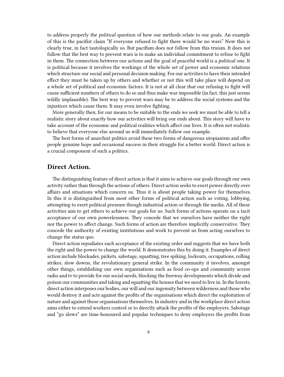to address properly the *political* question of how our methods relate to our goals. An example of this is the pacifist claim "If everyone refused to fight there would be no wars" Now this is clearly true, in fact tautologically so. But pacifism does not follow from this truism. It does *not* follow that the best way to prevent wars is to make an individual commitment to refuse to fight in them. The connection between our actions and the goal of peaceful world is a *political* one. It is political because it involves the workings of the whole set of power and economic relations which structure our social and personal decision making. For our activities to have their intended effect they must be taken up by others and whether or not this will take place will depend on a whole set of political and economic factors. It is not at all clear that our refusing to fight will cause sufficient numbers of others to do so and thus make war impossible (in fact, this just seems wildly implausible). The best way to prevent wars may be to address the social systems and the injustices which cause them. It may even involve fighting.

More generally then, for our means to be suitable to the ends we seek we must be able to tell a realistic story about exactly how our activities will bring our ends about. This story will have to take account of the economic and political realities which affect our lives. It is often not realistic to believe that everyone else around us will immediately follow our example.

The best forms of anarchist politics avoid these two forms of dangerous utopianism and offer people genuine hope and occasional success in their struggle for a better world. Direct action is a crucial component of such a politics.

#### <span id="page-5-0"></span>**Direct Action.**

The distinguishing feature of direct action is that it aims to achieve our goals through our own activity rather than through the actions of others. Direct action seeks to exert power directly over affairs and situations which concern us. Thus it is about people taking power for themselves. In this it is distinguished from most other forms of political action such as voting, lobbying, attempting to exert political pressure though industrial action or through the media. All of these activities aim to get others to achieve our goals for us. Such forms of actions operate on a tacit acceptance of our own powerlessness. They concede that we ourselves have neither the right nor the power to affect change. Such forms of action are therefore implicitly conservative. They concede the authority of existing institutions and work to prevent us from acting ourselves to change the status quo.

Direct action repudiates such acceptance of the existing order and suggests that we have both the right and the power to change the world. It demonstrates this by doing it. Examples of direct action include blockades, pickets, sabotage, squatting, tree spiking, lockouts, occupations, rolling strikes, slow downs, the revolutionary general strike. In the community it involves, amongst other things, establishing our own organisations such as food co-ops and community access radio and tv to provide for our social needs, blocking the freeway developments which divide and poison our communities and taking and squatting the houses that we need to live in. In the forests, direct action interposes our bodies, our will and our ingenuity between wilderness and those who would destroy it and acts against the profits of the organisations which direct the exploitation of nature and against those organisations themselves. In industry and in the workplace direct action aims either to extend workers control or to directly attack the profits of the employers. Sabotage and "go slows" are time-honoured and popular techniques to deny employers the profits from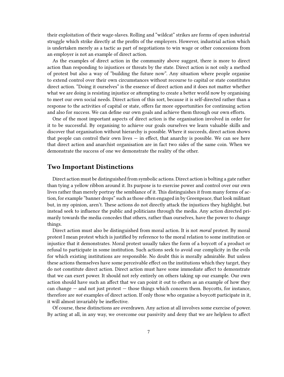their exploitation of their wage-slaves. Rolling and "wildcat" strikes are forms of open industrial struggle which strike directly at the profits of the employers. However, industrial action which is undertaken merely as a tactic as part of negotiations to win wage or other concessions from an employer is not an example of direct action.

As the examples of direct action in the community above suggest, there is more to direct action than responding to injustices or threats by the state. Direct action is not only a method of protest but also a way of "building the future now". Any situation where people organise to extend control over their own circumstances without recourse to capital or state constitutes direct action. "Doing it ourselves" is the essence of direct action and it does not matter whether what we are doing is resisting injustice or attempting to create a better world now by organising to meet our own social needs. Direct action of this sort, because it is self-directed rather than a response to the activities of capital or state, offers far more opportunities for continuing action and also for success. We can define our own goals and achieve them through our own efforts.

One of the most important aspects of direct action is the organisation involved in order for it to be successful. By organising to achieve our goals ourselves we learn valuable skills and discover that organisation without hierarchy is possible. Where it succeeds, direct action shows that people can control their own lives  $-$  in effect, that anarchy is possible. We can see here that direct action and anarchist organisation are in fact two sides of the same coin. When we demonstrate the success of one we demonstrate the reality of the other.

#### <span id="page-6-0"></span>**Two Important Distinctions**

Direct action must be distinguished from symbolic actions. Direct action is bolting a gate rather than tying a yellow ribbon around it. Its purpose is to exercise power and control over our own lives rather than merely portray the semblance of it. This distinguishes it from many forms of action, for example "banner drops" such as those often engaged in by Greenpeace, that look militant but, in my opinion, aren't. These actions do not directly attack the injustices they highlight, but instead seek to influence the public and politicians through the media. Any action directed primarily towards the media concedes that others, rather than ourselves, have the power to change things.

Direct action must also be distinguished from moral action. It is not *moral* protest. By moral protest I mean protest which is justified by reference to the moral relation to some institution or injustice that it demonstrates. Moral protest usually takes the form of a boycott of a product or refusal to participate in some institution. Such actions seek to avoid our complicity in the evils for which existing institutions are responsible. No doubt this is morally admirable. But unless these actions themselves have some perceivable effect on the institutions which they target, they do not constitute direct action. Direct action must have some immediate affect to demonstrate that we can exert power. It should not rely entirely on others taking up our example. Our own action should have such an affect that we can point it out to others as an example of how they can change  $-$  and not just protest  $-$  those things which concern them. Boycotts, for instance, therefore are *not* examples of direct action. If only those who organise a boycott participate in it, it will almost invariably be ineffective.

Of course, these distinctions are overdrawn. Any action at all involves some exercise of power. By acting at all, in any way, we overcome our passivity and deny that we are helpless to affect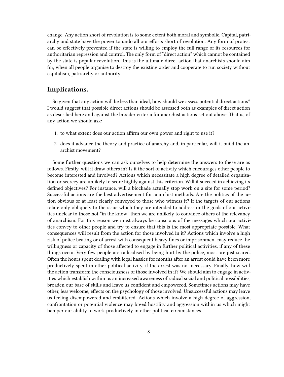change. Any action short of revolution is to some extent both moral and symbolic. Capital, patriarchy and state have the power to undo all our efforts short of revolution. Any form of protest can be effectively prevented if the state is willing to employ the full range of its resources for authoritarian repression and control. The only form of "direct action" which cannot be contained by the state is popular revolution. This is the ultimate direct action that anarchists should aim for, when all people organise to destroy the existing order and cooperate to run society without capitalism, patriarchy or authority.

#### <span id="page-7-0"></span>**Implications.**

So given that any action will be less than ideal, how should we assess potential direct actions? I would suggest that possible direct actions should be assessed both as examples of direct action as described here and against the broader criteria for anarchist actions set out above. That is, of any action we should ask:

- 1. to what extent does our action affirm our own power and right to use it?
- 2. does it advance the theory and practice of anarchy and, in particular, will it build the anarchist movement?

Some further questions we can ask ourselves to help determine the answers to these are as follows. Firstly, will it draw others in? Is it the sort of activity which encourages other people to become interested and involved? Actions which necessitate a high degree of detailed organisation or secrecy are unlikely to score highly against this criterion. Will it succeed in achieving its defined objectives? For instance, will a blockade actually stop work on a site for some period? Successful actions are the best advertisement for anarchist methods. Are the politics of the action obvious or at least clearly conveyed to those who witness it? If the targets of our actions relate only obliquely to the issue which they are intended to address or the goals of our activities unclear to those not "in the know" then we are unlikely to convince others of the relevancy of anarchism. For this reason we must always be conscious of the messages which our activities convey to other people and try to ensure that this is the most appropriate possible. What consequences will result from the action for those involved in it? Actions which involve a high risk of police beating or of arrest with consequent heavy fines or imprisonment may reduce the willingness or capacity of those affected to engage in further political activities, if any of these things occur. Very few people are radicalised by being hurt by the police, most are just scared. Often the hours spent dealing with legal hassles for months after an arrest could have been more productively spent in other political activity, if the arrest was not necessary. Finally, how will the action transform the consciousness of those involved in it? We should aim to engage in activities which establish within us an increased awareness of radical social and political possibilities, broaden our base of skills and leave us confident and empowered. Sometimes actions may have other, less welcome, effects on the psychology of those involved. Unsuccessful actions may leave us feeling disempowered and embittered. Actions which involve a high degree of aggression, confrontation or potential violence may breed hostility and aggression within us which might hamper our ability to work productively in other political circumstances.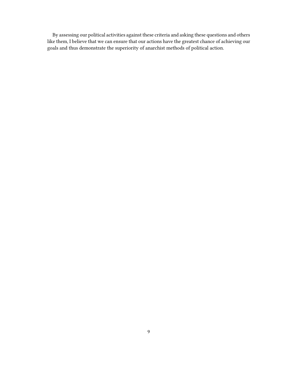By assessing our political activities against these criteria and asking these questions and others like them, I believe that we can ensure that our actions have the greatest chance of achieving our goals and thus demonstrate the superiority of anarchist methods of political action.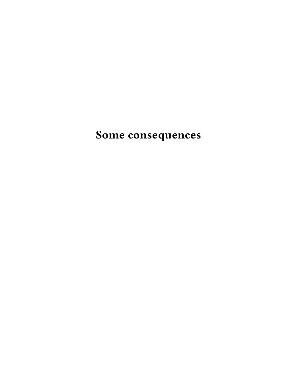<span id="page-9-0"></span>**Some consequences**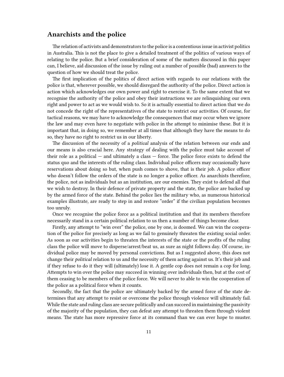#### <span id="page-10-0"></span>**Anarchists and the police**

The relation of activists and demonstrators to the police is a contentious issue in activist politics in Australia. This is not the place to give a detailed treatment of the politics of various ways of relating to the police. But a brief consideration of some of the matters discussed in this paper can, I believe, aid discussion of the issue by ruling out a number of possible (bad) answers to the question of how we should treat the police.

The first implication of the politics of direct action with regards to our relations with the police is that, wherever possible, we should disregard the authority of the police. Direct action is action which acknowledges our own power and right to exercise it. To the same extent that we recognise the authority of the police and obey their instructions we are relinquishing our own right and power to act as we would wish to. So it is actually essential to direct action that we do not concede the right of the representatives of the state to restrict our activities. Of course, for tactical reasons, we may have to acknowledge the consequences that may occur when we ignore the law and may even have to negotiate with police in the attempt to minimise these. But it is important that, in doing so, we remember at all times that although they have the means to do so, they have no right to restrict us in our liberty.

The discussion of the necessity of a *political* analysis of the relation between our ends and our means is also crucial here. Any strategy of dealing with the police must take account of their role as a political  $-$  and ultimately a class  $-$  force. The police force exists to defend the status quo and the interests of the ruling class. Individual police officers may occasionally have reservations about doing so but, when push comes to shove, that is their job. A police officer who doesn't follow the orders of the state is no longer a police officer. As anarchists therefore, the police, not as individuals but as an institution, are our enemies. They exist to defend all that we wish to destroy. In their defence of private property and the state, the police are backed up by the armed force of the state. Behind the police lies the military who, as numerous historical examples illustrate, are ready to step in and restore "order" if the civilian population becomes too unruly.

Once we recognise the police force as a political institution and that its members therefore necessarily stand in a certain political relation to us then a number of things become clear.

Firstly, any attempt to "win over" the police, one by one, is doomed. We can win the cooperation of the police for precisely as long as we fail to genuinely threaten the existing social order. As soon as our activities begin to threaten the interests of the state or the profits of the ruling class the police will move to disperse/arrest/beat us, as sure as night follows day. Of course, individual police may be moved by personal convictions. But as I suggested above, this does not change their *political* relation to us and the necessity of them acting against us. It's their job and if they refuse to do it they will (ultimately) lose it. A gentle cop does not remain a cop for long. Attempts to win over the police may succeed in winning over individuals then, but at the cost of them ceasing to be members of the police force. We will never to able to win the cooperation of the police as a political force when it counts.

Secondly, the fact that the police are ultimately backed by the armed force of the state determines that any attempt to resist or overcome the police through violence will ultimately fail. While the state and ruling class are secure politically and can succeed in maintaining the passivity of the majority of the population, they can defeat any attempt to threaten them through violent means. The state has more repressive force at its command than we can ever hope to muster.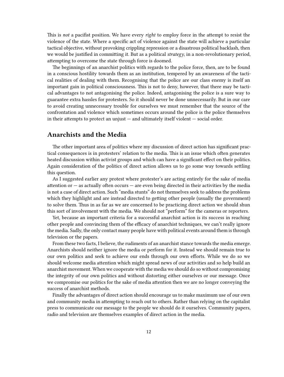This is *not* a pacifist position. We have every *right* to employ force in the attempt to resist the violence of the state. Where a specific act of violence against the state will achieve a particular tactical objective, without provoking crippling repression or a disastrous political backlash, then we would be justified in committing it. But as a political *strategy*, in a non-revolutionary period, attempting to overcome the state through force is doomed.

The beginnings of an anarchist politics with regards to the police force, then, are to be found in a conscious hostility towards them as an institution, tempered by an awareness of the tactical realities of dealing with them. Recognising that the police are our class enemy is itself an important gain in political consciousness. This is not to deny, however, that there may be tactical advantages to not antagonising the police. Indeed, antagonising the police is a sure way to guarantee extra hassles for protesters. So it should never be done unnecessarily. But in our care to avoid creating unnecessary trouble for ourselves we must remember that the source of the confrontation and violence which sometimes occurs around the police is the police themselves in their attempts to protect an unjust — and ultimately itself violent — social order.

#### <span id="page-11-0"></span>**Anarchists and the Media**

The other important area of politics where my discussion of direct action has significant practical consequences is in protesters' relation to the media. This is an issue which often generates heated discussion within activist groups and which can have a significant effect on their politics. Again consideration of the politics of direct action allows us to go some way towards settling this question.

As I suggested earlier any protest where protester's are acting entirely for the sake of media attention or  $-$  as actually often occurs  $-$  are even being directed in their activities by the media is not a case of direct action. Such "media stunts" do not themselves seek to address the problems which they highlight and are instead directed to getting other people (usually the government) to solve them. Thus in as far as we are concerned to be practicing direct action we should shun this sort of involvement with the media. We should not "perform" for the cameras or reporters.

Yet, because an important criteria for a successful anarchist action is its success in reaching other people and convincing them of the efficacy of anarchist techniques, we can't really ignore the media. Sadly, the only contact many people have with political events around them is through television or the papers.

From these two facts, I believe, the rudiments of an anarchist stance towards the media emerge. Anarchists should neither ignore the media or perform for it. Instead we should remain true to our own politics and seek to achieve our ends through our own efforts. While we do so we should welcome media attention which might spread news of our activities and so help build an anarchist movement. When we cooperate with the media we should do so without compromising the integrity of our own politics and without distorting either ourselves or our message. Once we compromise our politics for the sake of media attention then we are no longer conveying the success of anarchist methods.

Finally the advantages of direct action should encourage us to make maximum use of our own and community media in attempting to reach out to others. Rather than relying on the capitalist press to communicate our message to the people we should do it ourselves. Community papers, radio and television are themselves examples of direct action in the media.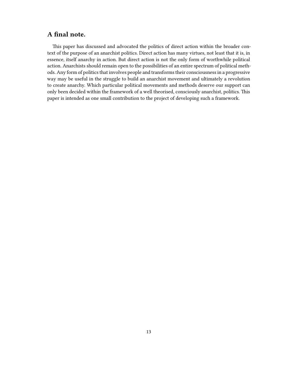### <span id="page-12-0"></span>**A final note.**

This paper has discussed and advocated the politics of direct action within the broader context of the purpose of an anarchist politics. Direct action has many virtues, not least that it is, in essence, itself anarchy in action. But direct action is not the only form of worthwhile political action. Anarchists should remain open to the possibilities of an entire spectrum of political methods. Any form of politics that involves people and transforms their consciousness in a progressive way may be useful in the struggle to build an anarchist movement and ultimately a revolution to create anarchy. Which particular political movements and methods deserve our support can only been decided within the framework of a well theorised, consciously anarchist, politics. This paper is intended as one small contribution to the project of developing such a framework.